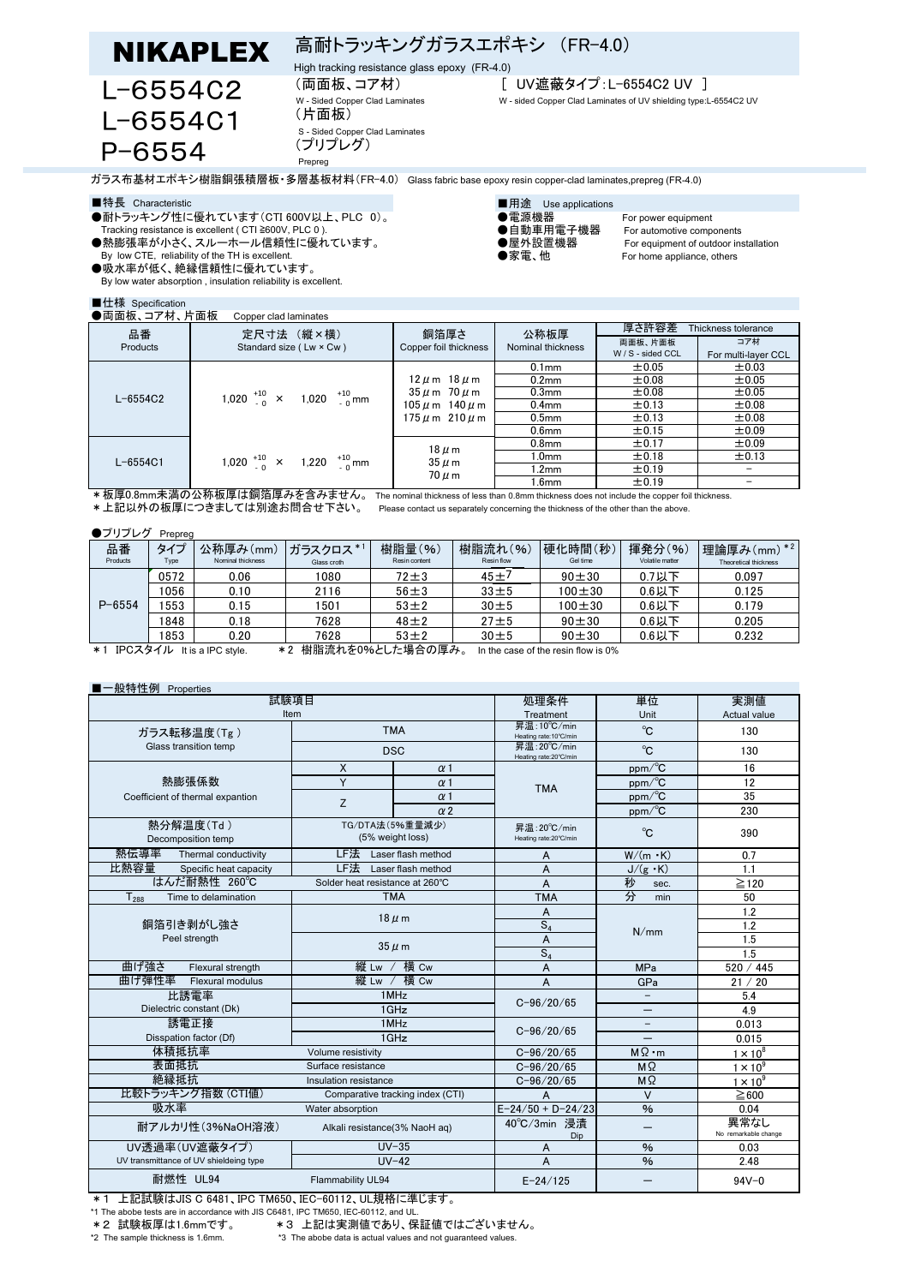



High tracking resistance glass epoxy (FR-4.0)

(片面板)

Prepreg

# (両面板、コア材) [ UV遮蔽タイプ:L-6554C2 UV ]

W - sided Copper Clad Laminates of UV shielding type:L-6554C2 UV

ガラス布基材エポキシ樹脂銅張積層板・多層基板材料(FR-4.0) Glass fabric base epoxy resin copper-clad laminates,prepreg (FR-4.0)

- ■特長 Characteristic<br>●耐トラッキング性に優れています(CTI 600V以上、PLC 0)。 ●雷源機器 ●耐トラッキング性に優れています (CTI 600V以上、PLC 0)。 ●電源機器 For power equipment<br>Tracking resistance is excellent ( CTI ≧600V, PLC 0 ). ●自動車用電子機器 For automotive components
- Tracking resistance is excellent ( CTI ≧600V, PLC 0 ). ●自動車用電子機器 For automotive components<br>●熱膨張率が小さく、スルーホール信頼性に優れています。 ●屋外設置機器 For equipment of outdoor installation ●熱膨張率が小さく、スルーホール信頼性に優れています。 ●屋外設置機器 For equipment of outdoor installation
- By low CTE, reliability of the TH is excellent.
- ●吸水率が低く、絶縁信頼性に優れています。 By low water absorption , insulation reliability is excellent.

## ■什様 Specification

# S - Sided Copper Clad Laminates (プリプレグ)

- -
- 
- 

- 
- 

- 
- 

| ●両面板、コア材、片面板<br>Copper clad laminates |                                              |                                                                                                      |                           |                              |                     |  |
|---------------------------------------|----------------------------------------------|------------------------------------------------------------------------------------------------------|---------------------------|------------------------------|---------------------|--|
| 品番                                    | 定尺寸法 (縦×横)                                   | 銅箔厚さ<br>Copper foil thickness                                                                        | 公称板厚<br>Nominal thickness | 厚さ許容差<br>Thickness tolerance |                     |  |
| Products                              | Standard size (Lw × Cw)                      |                                                                                                      |                           | 両面板、片面板                      | コア材                 |  |
|                                       |                                              |                                                                                                      |                           | W / S - sided CCL            | For multi-layer CCL |  |
| $L - 6554C2$                          | 1,020 $^{+10}_{-0}$ × 1,020 $^{+10}_{-0}$ mm | $12 \mu$ m $18 \mu$ m<br>$35 \mu$ m $70 \mu$ m<br>$105 \mu$ m $140 \mu$ m<br>$175 \mu m$ 210 $\mu$ m | 0.1 <sub>mm</sub>         | $\pm 0.05$                   | ±0.03               |  |
|                                       |                                              |                                                                                                      | 0.2 <sub>mm</sub>         | $\pm 0.08$                   | ±0.05               |  |
|                                       |                                              |                                                                                                      | 0.3 <sub>mm</sub>         | $\pm 0.08$                   | ±0.05               |  |
|                                       |                                              |                                                                                                      | 0.4 <sub>mm</sub>         | $\pm$ 0.13                   | ±0.08               |  |
|                                       |                                              |                                                                                                      | 0.5 <sub>mm</sub>         | ±0.13                        | ±0.08               |  |
|                                       |                                              |                                                                                                      | 0.6 <sub>mm</sub>         | $\pm$ 0.15                   | ±0.09               |  |
| $L - 6554C1$                          | 1,020 $^{+10}_{-0}$ × 1,220 $^{+10}_{-0}$ mm | $18 \mu m$<br>$35 \mu m$<br>$70 \mu m$                                                               | 0.8 <sub>mm</sub>         | ±0.17                        | ±0.09               |  |
|                                       |                                              |                                                                                                      | 1.0 <sub>mm</sub>         | ±0.18                        | ±0.13               |  |
|                                       |                                              |                                                                                                      | 1.2 <sub>mm</sub>         | ±0.19                        |                     |  |
|                                       |                                              |                                                                                                      | 1.6mm                     | ±0.19                        |                     |  |
| $LT = 0.8$                            |                                              |                                                                                                      |                           |                              |                     |  |

\*板厚0.8mm未満の公称板厚は銅箔厚みを含みません。 The nominal thickness of less than 0.8mm thickness does not include the copper foil thickness. \*上記以外の板厚につきましては別途お問合せ下さい。 Please contact us separately concerning the thickness of the other than the above.

### ●プリプレグ Prepreg

| 品番<br>Products                                                                                                                                                                                                                                                                                                                                                                                         | タイプ<br>Type | 公称厚み(mm)<br>Nominal thickness | ガラスクロス*1<br>Glass croth | 樹脂量(%)<br>Resin content | 樹脂流れ(%)<br>Resin flow | 硬化時間(秒)<br>Gel time | 揮発分(%)<br>Volatile matter | 埋論厚み(mm) *2<br>Theoretical thickness |
|--------------------------------------------------------------------------------------------------------------------------------------------------------------------------------------------------------------------------------------------------------------------------------------------------------------------------------------------------------------------------------------------------------|-------------|-------------------------------|-------------------------|-------------------------|-----------------------|---------------------|---------------------------|--------------------------------------|
| $P - 6554$                                                                                                                                                                                                                                                                                                                                                                                             | 0572        | 0.06                          | 1080                    | 72±3                    | $45 + 7$              | $90 + 30$           | $0.7$ 以下                  | 0.097                                |
|                                                                                                                                                                                                                                                                                                                                                                                                        | 1056        | 0.10                          | 2116                    | $56 \pm 3$              | $33 + 5$              | $100 + 30$          | $0.6$ 以下                  | 0.125                                |
|                                                                                                                                                                                                                                                                                                                                                                                                        | 553         | 0.15                          | 1501                    | $53 \pm 2$              | $30 \pm 5$            | $100 + 30$          | $0.6$ 以下                  | 0.179                                |
|                                                                                                                                                                                                                                                                                                                                                                                                        | 1848        | 0.18                          | 7628                    | $48 + 2$                | 27 <sub>±5</sub>      | $90 + 30$           | $0.6$ 以下                  | 0.205                                |
|                                                                                                                                                                                                                                                                                                                                                                                                        | 853         | 0.20                          | 7628                    | $53 \pm 2$              | $30 + 5$              | $90 + 30$           | $0.6$ 以下                  | 0.232                                |
| $\frac{1}{10}$ . $\frac{1}{10}$ . $\frac{1}{10}$ . $\frac{1}{10}$ . $\frac{1}{10}$ . $\frac{1}{10}$ . $\frac{1}{10}$ . $\frac{1}{10}$ . $\frac{1}{10}$ . $\frac{1}{10}$ . $\frac{1}{10}$ . $\frac{1}{10}$ . $\frac{1}{10}$ . $\frac{1}{10}$ . $\frac{1}{10}$ . $\frac{1}{10}$ . $\frac{1}{10}$ .<br>$\mathbf{r} \cdot \mathbf{r} \cdot \mathbf{r} = \mathbf{r} \cdot \mathbf{r}$<br>. .<br>$   -$<br>. |             |                               |                         |                         |                       |                     |                           |                                      |

\*1 IPCスタイル It is a IPC style. \*2 樹脂流れを0%とした場合の厚み。 In the case of the resin flow is 0%

# ■一般特性例 Properties

| 試験項目                                                  |                                     |                    | 処理条件                                   | 単位                       | 実測値                          |
|-------------------------------------------------------|-------------------------------------|--------------------|----------------------------------------|--------------------------|------------------------------|
| Item                                                  |                                     |                    | Treatment                              | Unit                     | Actual value                 |
| ガラス転移温度(Tg)                                           | <b>TMA</b>                          |                    | 昇温: 10°C/min<br>Heating rate: 10°C/min | °C                       | 130                          |
| Glass transition temp                                 | <b>DSC</b>                          |                    | 昇温: 20°C/min<br>Heating rate: 20°C/min | °C                       | 130                          |
|                                                       | $\times$<br>$\alpha$ 1              |                    |                                        | ppm/°C                   | 16                           |
| 熱膨張係数                                                 | Y                                   | $\alpha$ 1         | <b>TMA</b>                             | ppm/°C                   | 12                           |
| Coefficient of thermal expantion                      | Z                                   | $\alpha$ 1         |                                        | $ppm$ <sup>o</sup> C     | 35                           |
|                                                       |                                     | $\alpha$ 2         |                                        | ppm/°C                   | 230                          |
| 熱分解温度(Td)<br>Decomposition temp                       | TG/DTA法(5%重量減少)<br>(5% weight loss) |                    | 昇温: 20°C/min<br>Heating rate: 20°C/min | °C                       | 390                          |
| 熱伝導率<br>Thermal conductivity                          | LF法<br>Laser flash method           |                    | A                                      | $W/(m \cdot K)$          | 0.7                          |
| 比熱容量<br>Specific heat capacity                        | LF法                                 | Laser flash method | A                                      | $J/(g \cdot K)$          | 1.1                          |
| はんだ耐熱性 260℃                                           | Solder heat resistance at 260°C     |                    | A                                      | 秒<br>sec.                | $\geq$ 120                   |
| Time to delamination<br>$T_{288}$                     | <b>TMA</b>                          |                    | <b>TMA</b>                             | 分<br>min                 | 50                           |
|                                                       | $18 \mu m$                          |                    | A                                      |                          | 1.2                          |
| 銅箔引き剥がし強さ                                             |                                     |                    | $S_4$                                  | N/mm                     | 1.2                          |
| Peel strength                                         | $35 \mu m$                          |                    | A                                      |                          | 1.5                          |
|                                                       |                                     |                    | $S_4$                                  |                          | 1.5                          |
| 曲げ強さ<br>Flexural strength                             | 縦 Lw / 横 Cw                         |                    | A                                      | <b>MPa</b>               | 520 / 445                    |
| 曲げ弾性率<br>Flexural modulus                             | 縦 Lw / 横 Cw                         |                    | A                                      | GPa                      | 21 / 20                      |
| 比誘電率                                                  | 1MHz<br>$1$ GHz                     |                    | $C - 96/20/65$                         |                          | 5.4                          |
| Dielectric constant (Dk)                              |                                     |                    |                                        |                          | 4.9                          |
| 誘電正接                                                  | 1MHz                                |                    |                                        | $\overline{\phantom{0}}$ | 0.013                        |
| Disspation factor (Df)                                | 1GHz                                |                    | $C - 96/20/65$                         |                          | 0.015                        |
| 体積抵抗率                                                 | Volume resistivity                  |                    | $C - 96/20/65$                         | $M\Omega \cdot m$        | $1 \times 10^8$              |
| 表面抵抗                                                  | Surface resistance                  |                    | $C - 96/20/65$                         | $M\Omega$                | $1 \times 10^9$              |
| 絶縁抵抗                                                  | Insulation resistance               |                    | $C - 96/20/65$                         | $M \Omega$               | $1 \times 10^9$              |
| 比較トラッキング指数 (CTI値)<br>Comparative tracking index (CTI) |                                     |                    | $\vee$<br>A                            |                          | $\geq 600$                   |
| 吸水率                                                   | Water absorption                    |                    | $E - 24/50 + D - 24/23$                | $\frac{9}{6}$            | 0.04                         |
| 耐アルカリ性(3%NaOH溶液)                                      | Alkali resistance(3% NaoH aq)       |                    | 40°C/3min 浸清<br>Dip                    |                          | 異常なし<br>No remarkable change |
| UV透過率(UV遮蔽タイプ)                                        | $UV-35$                             |                    | A                                      | %                        | 0.03                         |
| UV transmittance of UV shieldeing type                | $UV-42$                             |                    | A                                      | $\frac{9}{6}$            | 2.48                         |
| 耐燃性 UL94                                              | Flammability UL94                   |                    | $E - 24/125$                           |                          | $94V - 0$                    |

**★1 上記試験はJIS C 6481、IPC TM650、IEC-60112、UL規格に準じます。** 

\*1 The abobe tests are in accordance with JIS C6481, IPC TM650, IEC-60112, and UL.

\*2 試験板厚は1.6mmです。 \*3 上記は実測値であり、保証値ではございません。

\*3 The abobe data is actual values and not guaranteed values.